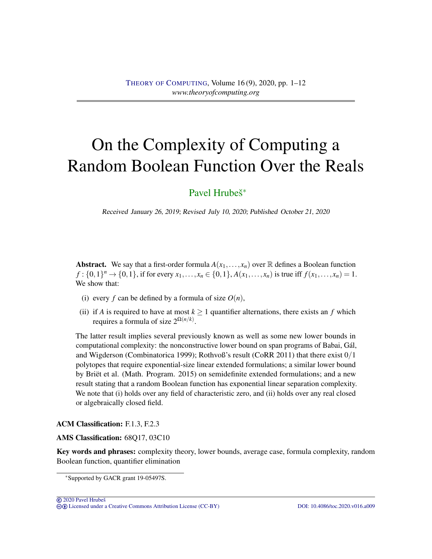# On the Complexity of Computing a Random Boolean Function Over the Reals

# [Pavel Hrubeš](#page-11-0)<sup>∗</sup>

Received January 26, 2019; Revised July 10, 2020; Published October 21, 2020

**Abstract.** We say that a first-order formula  $A(x_1,...,x_n)$  over  $\mathbb R$  defines a Boolean function *f* :  $\{0,1\}^n \to \{0,1\}$ , if for every  $x_1, \ldots, x_n \in \{0,1\}$ ,  $A(x_1, \ldots, x_n)$  is true iff  $f(x_1, \ldots, x_n) = 1$ . We show that:

- (i) every *f* can be defined by a formula of size  $O(n)$ ,
- (ii) if *A* is required to have at most  $k \ge 1$  quantifier alternations, there exists an *f* which requires a formula of size  $2^{\Omega(n/k)}$ .

The latter result implies several previously known as well as some new lower bounds in computational complexity: the nonconstructive lower bound on span programs of Babai, Gál, and Wigderson (Combinatorica 1999); Rothvoß's result (CoRR 2011) that there exist 0/1 polytopes that require exponential-size linear extended formulations; a similar lower bound by Briët et al. (Math. Program. 2015) on semidefinite extended formulations; and a new result stating that a random Boolean function has exponential linear separation complexity. We note that (i) holds over any field of characteristic zero, and (ii) holds over any real closed or algebraically closed field.

#### ACM Classification: F.1.3, F.2.3

## AMS Classification: 68Q17, 03C10

Key words and phrases: complexity theory, lower bounds, average case, formula complexity, random Boolean function, quantifier elimination

<sup>∗</sup>Supported by GACR grant 19-05497S.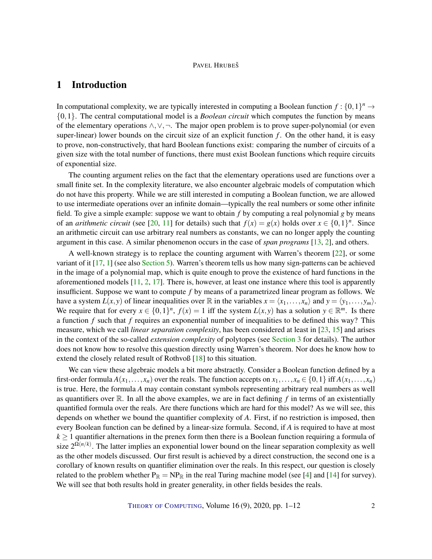# <span id="page-1-0"></span>1 Introduction

In computational complexity, we are typically interested in computing a Boolean function  $f: \{0,1\}^n \to$ {0,1}. The central computational model is a *Boolean circuit* which computes the function by means of the elementary operations ∧,∨,¬. The major open problem is to prove super-polynomial (or even super-linear) lower bounds on the circuit size of an explicit function  $f$ . On the other hand, it is easy to prove, non-constructively, that hard Boolean functions exist: comparing the number of circuits of a given size with the total number of functions, there must exist Boolean functions which require circuits of exponential size.

The counting argument relies on the fact that the elementary operations used are functions over a small finite set. In the complexity literature, we also encounter algebraic models of computation which do not have this property. While we are still interested in computing a Boolean function, we are allowed to use intermediate operations over an infinite domain—typically the real numbers or some other infinite field. To give a simple example: suppose we want to obtain *f* by computing a real polynomial *g* by means of an *arithmetic circuit* (see [\[20,](#page-11-1) [11\]](#page-10-0) for details) such that  $f(x) = g(x)$  holds over  $x \in \{0,1\}^n$ . Since an arithmetic circuit can use arbitrary real numbers as constants, we can no longer apply the counting argument in this case. A similar phenomenon occurs in the case of *span programs* [\[13,](#page-10-1) [2\]](#page-9-0), and others.

A well-known strategy is to replace the counting argument with Warren's theorem [\[22\]](#page-11-2), or some variant of it [\[17,](#page-10-2) [1\]](#page-9-1) (see also [Section](#page-6-0) [5\)](#page-6-0). Warren's theorem tells us how many sign-patterns can be achieved in the image of a polynomial map, which is quite enough to prove the existence of hard functions in the aforementioned models  $[11, 2, 17]$  $[11, 2, 17]$  $[11, 2, 17]$  $[11, 2, 17]$  $[11, 2, 17]$ . There is, however, at least one instance where this tool is apparently insufficient. Suppose we want to compute *f* by means of a parametrized linear program as follows. We have a system  $L(x, y)$  of linear inequalities over  $\mathbb R$  in the variables  $x = \langle x_1, \ldots, x_n \rangle$  and  $y = \langle y_1, \ldots, y_m \rangle$ . We require that for every  $x \in \{0,1\}^n$ ,  $f(x) = 1$  iff the system  $L(x, y)$  has a solution  $y \in \mathbb{R}^m$ . Is there a function *f* such that *f* requires an exponential number of inequalities to be defined this way? This measure, which we call *linear separation complexity*, has been considered at least in [\[23,](#page-11-3) [15\]](#page-10-3) and arises in the context of the so-called *extension complexity* of polytopes (see [Section](#page-3-0) [3](#page-3-0) for details). The author does not know how to resolve this question directly using Warren's theorem. Nor does he know how to extend the closely related result of Rothvoß [\[18\]](#page-11-4) to this situation.

We can view these algebraic models a bit more abstractly. Consider a Boolean function defined by a first-order formula  $A(x_1,...,x_n)$  over the reals. The function accepts on  $x_1,...,x_n \in \{0,1\}$  iff  $A(x_1,...,x_n)$ is true. Here, the formula *A* may contain constant symbols representing arbitrary real numbers as well as quantifiers over  $\mathbb R$ . In all the above examples, we are in fact defining  $f$  in terms of an existentially quantified formula over the reals. Are there functions which are hard for this model? As we will see, this depends on whether we bound the quantifier complexity of *A*. First, if no restriction is imposed, then every Boolean function can be defined by a linear-size formula. Second, if *A* is required to have at most  $k \geq 1$  quantifier alternations in the prenex form then there is a Boolean function requiring a formula of size  $2^{\Omega(n/k)}$ . The latter implies an exponential lower bound on the linear separation complexity as well as the other models discussed. Our first result is achieved by a direct construction, the second one is a corollary of known results on quantifier elimination over the reals. In this respect, our question is closely related to the problem whether  $P_{\mathbb{R}} = NP_{\mathbb{R}}$  in the real Turing machine model (see [\[4\]](#page-10-4) and [\[14\]](#page-10-5) for survey). We will see that both results hold in greater generality, in other fields besides the reals.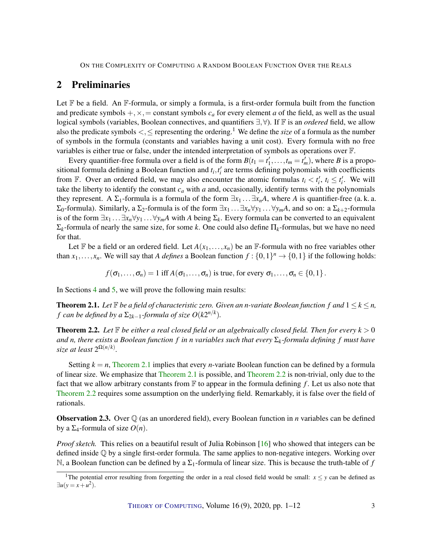# <span id="page-2-2"></span>2 Preliminaries

Let  $\mathbb F$  be a field. An  $\mathbb F$ -formula, or simply a formula, is a first-order formula built from the function and predicate symbols  $+, \times, =$  constant symbols  $c_a$  for every element *a* of the field, as well as the usual logical symbols (variables, Boolean connectives, and quantifiers ∃,∀). If F is an *ordered* field, we allow also the predicate symbols <,≤ representing the ordering.<sup>1</sup> We define the *size* of a formula as the number of symbols in the formula (constants and variables having a unit cost). Every formula with no free variables is either true or false, under the intended interpretation of symbols as operations over F.

Every quantifier-free formula over a field is of the form  $B(t_1 = t'_1, \ldots, t_m = t'_m)$ , where *B* is a propositional formula defining a Boolean function and  $t_i, t'_i$  are terms defining polynomials with coefficients from  $\mathbb{F}$ . Over an ordered field, we may also encounter the atomic formulas  $t_i < t'_i$ ,  $t_i \leq t'_i$ . We will take the liberty to identify the constant *c<sup>a</sup>* with *a* and, occasionally, identify terms with the polynomials they represent. A  $\Sigma_1$ -formula is a formula of the form  $\exists x_1 \dots \exists x_n A$ , where *A* is quantifier-free (a. k. a.  $Σ_0$ -formula). Similarly, a Σ<sub>2</sub>-formula is of the form  $∃x_1$ ... $∃x_n∀y_1$ ...∀*y<sub>m</sub>A*, and so on: a Σ<sub>*k*+2</sub>-formula is of the form  $\exists x_1 \dots \exists x_n \forall y_1 \dots \forall y_m A$  with *A* being  $\Sigma_k$ . Every formula can be converted to an equivalent Σ*k*-formula of nearly the same size, for some *k*. One could also define Π*k*-formulas, but we have no need for that.

Let  $\mathbb F$  be a field or an ordered field. Let  $A(x_1,...,x_n)$  be an  $\mathbb F$ -formula with no free variables other than  $x_1, \ldots, x_n$ . We will say that *A defines* a Boolean function  $f: \{0,1\}^n \to \{0,1\}$  if the following holds:

 $f(\sigma_1,\ldots,\sigma_n)=1$  iff  $A(\sigma_1,\ldots,\sigma_n)$  is true, for every  $\sigma_1,\ldots,\sigma_n\in\{0,1\}$ .

In Sections [4](#page-4-0) and [5,](#page-6-0) we will prove the following main results:

<span id="page-2-0"></span>**Theorem 2.1.** Let  $\mathbb F$  be a field of characteristic zero. Given an *n*-variate Boolean function f and  $1 \leq k \leq n$ , *f* can be defined by a  $\Sigma_{2k-1}$ -formula of size  $O(k2^{n/k})$ .

<span id="page-2-1"></span>**Theorem 2.2.** Let  $\mathbb{F}$  be either a real closed field or an algebraically closed field. Then for every  $k > 0$ *and n, there exists a Boolean function*  $f$  *in n* variables such that every  $\Sigma_k$ -formula defining  $f$  *must have* size at least  $2^{\Omega(n/k)}$ .

Setting  $k = n$ , [Theorem](#page-2-0) [2.1](#page-2-0) implies that every *n*-variate Boolean function can be defined by a formula of linear size. We emphasize that [Theorem](#page-2-0) [2.1](#page-2-0) is possible, and [Theorem](#page-2-1) [2.2](#page-2-1) is non-trivial, only due to the fact that we allow arbitrary constants from  $\mathbb F$  to appear in the formula defining f. Let us also note that [Theorem](#page-2-1) [2.2](#page-2-1) requires some assumption on the underlying field. Remarkably, it is false over the field of rationals.

**Observation 2.3.** Over  $\mathbb{Q}$  (as an unordered field), every Boolean function in *n* variables can be defined by a Σ4-formula of size *O*(*n*).

*Proof sketch.* This relies on a beautiful result of Julia Robinson [\[16\]](#page-10-6) who showed that integers can be defined inside Q by a single first-order formula. The same applies to non-negative integers. Working over N, a Boolean function can be defined by a  $\Sigma_1$ -formula of linear size. This is because the truth-table of f

<sup>&</sup>lt;sup>1</sup>The potential error resulting from forgetting the order in a real closed field would be small:  $x \leq y$  can be defined as  $\exists u(y=x+u^2).$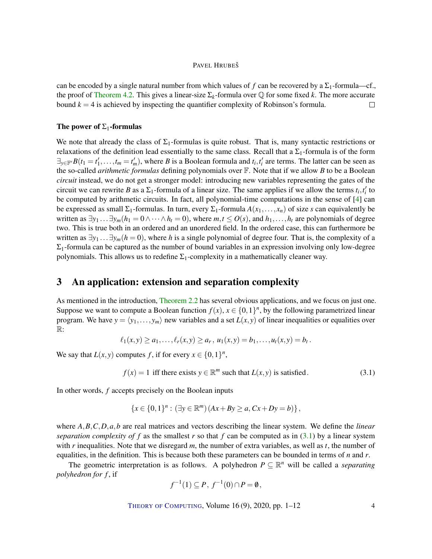<span id="page-3-2"></span>can be encoded by a single natural number from which values of f can be recovered by a  $\Sigma_1$ -formula—cf., the proof of [Theorem](#page-5-0) [4.2.](#page-5-0) This gives a linear-size  $\Sigma_k$ -formula over  $\mathbb Q$  for some fixed *k*. The more accurate bound  $k = 4$  is achieved by inspecting the quantifier complexity of Robinson's formula.  $\Box$ 

#### The power of  $\Sigma_1$ -formulas

We note that already the class of  $\Sigma_1$ -formulas is quite robust. That is, many syntactic restrictions or relaxations of the definition lead essentially to the same class. Recall that a  $\Sigma_1$ -formula is of the form  $\exists_{y \in \mathbb{F}'} B(t_1 = t'_1, \dots, t_m = t'_m)$ , where *B* is a Boolean formula and  $t_i, t'_i$  are terms. The latter can be seen as the so-called *arithmetic formulas* defining polynomials over F. Note that if we allow *B* to be a Boolean *circuit* instead, we do not get a stronger model: introducing new variables representing the gates of the circuit we can rewrite *B* as a  $\Sigma_1$ -formula of a linear size. The same applies if we allow the terms  $t_i, t'_i$  to be computed by arithmetic circuits. In fact, all polynomial-time computations in the sense of [\[4\]](#page-10-4) can be expressed as small  $\Sigma_1$ -formulas. In turn, every  $\Sigma_1$ -formula  $A(x_1,...,x_n)$  of size *s* can equivalently be written as  $\exists y_1 \dots \exists y_m (h_1 = 0 \land \dots \land h_t = 0)$ , where  $m, t \le O(s)$ , and  $h_1, \dots, h_t$  are polynomials of degree two. This is true both in an ordered and an unordered field. In the ordered case, this can furthermore be written as  $\exists y_1 \dots \exists y_m (h = 0)$ , where *h* is a single polynomial of degree four. That is, the complexity of a  $\Sigma_1$ -formula can be captured as the number of bound variables in an expression involving only low-degree polynomials. This allows us to redefine  $\Sigma_1$ -complexity in a mathematically cleaner way.

## <span id="page-3-0"></span>3 An application: extension and separation complexity

As mentioned in the introduction, [Theorem](#page-2-1) [2.2](#page-2-1) has several obvious applications, and we focus on just one. Suppose we want to compute a Boolean function  $f(x)$ ,  $x \in \{0,1\}^n$ , by the following parametrized linear program. We have  $y = \langle y_1, \ldots, y_m \rangle$  new variables and a set  $L(x, y)$  of linear inequalities or equalities over R:

$$
\ell_1(x,y) \ge a_1,\ldots,\ell_r(x,y) \ge a_r, u_1(x,y) = b_1,\ldots,u_t(x,y) = b_t.
$$

We say that  $L(x, y)$  computes f, if for every  $x \in \{0, 1\}^n$ ,

<span id="page-3-1"></span>
$$
f(x) = 1
$$
 iff there exists  $y \in \mathbb{R}^m$  such that  $L(x, y)$  is satisfied. (3.1)

In other words, *f* accepts precisely on the Boolean inputs

$$
\{x \in \{0,1\}^n : (\exists y \in \mathbb{R}^m) (Ax + By \ge a, Cx + Dy = b)\},\
$$

where *A*,*B*,*C*,*D*,*a*,*b* are real matrices and vectors describing the linear system. We define the *linear separation complexity of*  $f$  as the smallest  $r$  so that  $f$  can be computed as in [\(3.1\)](#page-3-1) by a linear system with *r* inequalities. Note that we disregard *m*, the number of extra variables, as well as *t*, the number of equalities, in the definition. This is because both these parameters can be bounded in terms of *n* and *r*.

The geometric interpretation is as follows. A polyhedron  $P \subseteq \mathbb{R}^n$  will be called a *separating polyhedron for f* , if

$$
f^{-1}(1) \subseteq P, f^{-1}(0) \cap P = \emptyset,
$$

THEORY OF C[OMPUTING](http://dx.doi.org/10.4086/toc), Volume 16 (9), 2020, pp. 1–12 4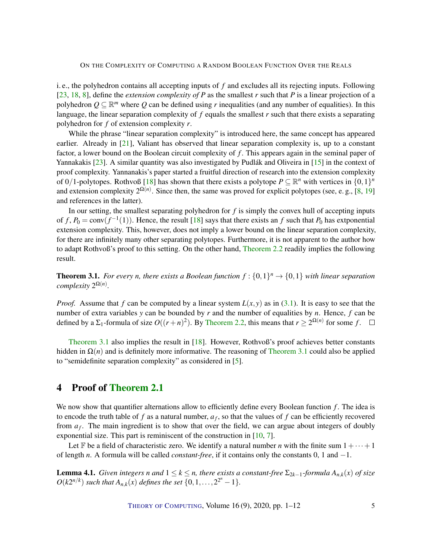<span id="page-4-2"></span>i. e., the polyhedron contains all accepting inputs of *f* and excludes all its rejecting inputs. Following [\[23,](#page-11-3) [18,](#page-11-4) [8\]](#page-10-7), define the *extension complexity of P* as the smallest *r* such that *P* is a linear projection of a polyhedron  $Q \subseteq \mathbb{R}^m$  where  $Q$  can be defined using *r* inequalities (and any number of equalities). In this language, the linear separation complexity of  $f$  equals the smallest  $r$  such that there exists a separating polyhedron for *f* of extension complexity *r*.

While the phrase "linear separation complexity" is introduced here, the same concept has appeared earlier. Already in [\[21\]](#page-11-5), Valiant has observed that linear separation complexity is, up to a constant factor, a lower bound on the Boolean circuit complexity of *f* . This appears again in the seminal paper of Yannakakis [\[23\]](#page-11-3). A similar quantity was also investigated by Pudlák and Oliveira in [\[15\]](#page-10-3) in the context of proof complexity. Yannanakis's paper started a fruitful direction of research into the extension complexity of 0/1-polytopes. Rothvoß [\[18\]](#page-11-4) has shown that there exists a polytope  $P \subseteq \mathbb{R}^n$  with vertices in  $\{0,1\}^n$ and extension complexity  $2^{\Omega(n)}$ . Since then, the same was proved for explicit polytopes (see, e. g., [\[8,](#page-10-7) [19\]](#page-11-6) and references in the latter).

In our setting, the smallest separating polyhedron for *f* is simply the convex hull of accepting inputs of  $f$ ,  $P_0 = \text{conv}(f^{-1}(1))$ . Hence, the result [\[18\]](#page-11-4) says that there exists an  $f$  such that  $P_0$  has extponential extension complexity. This, however, does not imply a lower bound on the linear separation complexity, for there are infinitely many other separating polytopes. Furthermore, it is not apparent to the author how to adapt Rothvoß's proof to this setting. On the other hand, [Theorem](#page-2-1) [2.2](#page-2-1) readily implies the following result.

<span id="page-4-1"></span>**Theorem 3.1.** For every *n*, there exists a Boolean function  $f: \{0,1\}^n \rightarrow \{0,1\}$  with linear separation *complexity*  $2^{\Omega(n)}$ *.* 

*Proof.* Assume that *f* can be computed by a linear system  $L(x, y)$  as in [\(3.1\)](#page-3-1). It is easy to see that the number of extra variables *y* can be bounded by *r* and the number of equalities by *n*. Hence, *f* can be defined by a  $\Sigma_1$ -formula of size  $O((r+n)^2)$ . By [Theorem](#page-2-1) [2.2,](#page-2-1) this means that  $r \geq 2^{\Omega(n)}$  for some f.

[Theorem](#page-4-1) [3.1](#page-4-1) also implies the result in [\[18\]](#page-11-4). However, Rothvoß's proof achieves better constants hidden in  $\Omega(n)$  and is definitely more informative. The reasoning of [Theorem](#page-4-1) [3.1](#page-4-1) could also be applied to "semidefinite separation complexity" as considered in [\[5\]](#page-10-8).

## <span id="page-4-0"></span>4 Proof of [Theorem](#page-2-0) [2.1](#page-2-0)

We now show that quantifier alternations allow to efficiently define every Boolean function *f*. The idea is to encode the truth table of  $f$  as a natural number,  $a_f$ , so that the values of  $f$  can be efficiently recovered from *a<sup>f</sup>* . The main ingredient is to show that over the field, we can argue about integers of doubly exponential size. This part is reminiscent of the construction in [\[10,](#page-10-9) [7\]](#page-10-10).

Let F be a field of characteristic zero. We identify a natural number *n* with the finite sum  $1 + \cdots + 1$ of length *n*. A formula will be called *constant-free*, if it contains only the constants 0, 1 and −1.

**Lemma 4.1.** *Given integers n* and  $1 \leq k \leq n$ , there exists a constant-free  $\Sigma_{2k-1}$ -formula  $A_{n,k}(x)$  of size  $O(k2^{n/k})$  *such that*  $A_{n,k}(x)$  *defines the set*  $\{0, 1, ..., 2^{2^n} - 1\}$ *.* 

THEORY OF C[OMPUTING](http://dx.doi.org/10.4086/toc), Volume 16 (9), 2020, pp. 1–12 5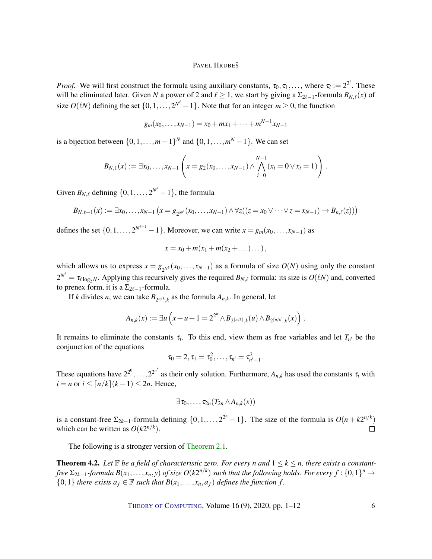*Proof.* We will first construct the formula using auxiliary constants,  $\tau_0, \tau_1, \ldots$ , where  $\tau_i := 2^{2^i}$ . These will be eliminated later. Given *N* a power of 2 and  $\ell \ge 1$ , we start by giving a  $\Sigma_{2\ell-1}$ -formula  $B_{N,\ell}(x)$  of size  $O(\ell N)$  defining the set  $\{0, 1, \ldots, 2^{N^{\ell}} - 1\}$ . Note that for an integer  $m \ge 0$ , the function

$$
g_m(x_0,\ldots,x_{N-1})=x_0+mx_1+\cdots+m^{N-1}x_{N-1}
$$

is a bijection between  $\{0, 1, \ldots, m-1\}^N$  and  $\{0, 1, \ldots, m^N - 1\}$ . We can set

$$
B_{N,1}(x) := \exists x_0, \ldots, x_{N-1} \left( x = g_2(x_0, \ldots, x_{N-1}) \wedge \bigwedge_{i=0}^{N-1} (x_i = 0 \vee x_i = 1) \right).
$$

Given  $B_{N,\ell}$  defining  $\{0,1,\ldots,2^{N^{\ell}}-1\}$ , the formula

$$
B_{N,\ell+1}(x) := \exists x_0, \ldots, x_{N-1} \left( x = g_{2^{N^{\ell}}}(x_0, \ldots, x_{N-1}) \wedge \forall z ((z = x_0 \vee \cdots \vee z = x_{N-1}) \rightarrow B_{n,\ell}(z)) \right)
$$

defines the set  $\{0, 1, \ldots, 2^{N^{\ell+1}} - 1\}$ . Moreover, we can write  $x = g_m(x_0, \ldots, x_{N-1})$  as

$$
x = x_0 + m(x_1 + m(x_2 + \dots) \dots),
$$

which allows us to express  $x = g_{2N^{\ell}}(x_0, \ldots, x_{N-1})$  as a formula of size  $O(N)$  using only the constant  $2^{N^{\ell}} = \tau_{\ell \log_2 N}$ . Applying this recursively gives the required  $B_{N,\ell}$  formula: its size is  $O(\ell N)$  and, converted to prenex form, it is a  $\Sigma_{2\ell-1}$ -formula.

If *k* divides *n*, we can take  $B_{2^{n/k},k}$  as the formula  $A_{n,k}$ . In general, let

$$
A_{n,k}(x) := \exists u \left( x + u + 1 = 2^{2^n} \wedge B_{2^{\lceil n/k \rceil},k}(u) \wedge B_{2^{\lceil n/k \rceil},k}(x) \right).
$$

It remains to eliminate the constants  $\tau_i$ . To this end, view them as free variables and let  $T_{n'}$  be the conjunction of the equations

$$
\tau_0=2, \tau_1=\tau_0^2,\ldots,\tau_{n'}=\tau_{n'-1}^2\,.
$$

These equations have  $2^{2^0}, \ldots, 2^{2^{n'}}$  as their only solution. Furthermore,  $A_{n,k}$  has used the constants  $\tau_i$  with  $i = n$  or  $i \leq \lceil n/k \rceil (k-1) \leq 2n$ . Hence,

$$
\exists \tau_0,\ldots,\tau_{2n}(T_{2n}\wedge A_{n,k}(x))
$$

is a constant-free  $\Sigma_{2k-1}$ -formula defining  $\{0, 1, ..., 2^{2^n} - 1\}$ . The size of the formula is  $O(n + k2^{n/k})$ which can be written as  $O(k2^{n/k})$ .  $\Box$ 

The following is a stronger version of [Theorem](#page-2-0) [2.1.](#page-2-0)

<span id="page-5-0"></span>**Theorem 4.2.** Let  $\mathbb{F}$  be a field of characteristic zero. For every n and  $1 \leq k \leq n$ , there exists a constant*free*  $\Sigma_{2k-1}$ -formula  $B(x_1,...,x_n,y)$  of size  $O(k2^{n/k})$  such that the following holds. For every  $f:\{0,1\}^n\to$ {0,1} *there exists*  $a_f \in \mathbb{F}$  *such that*  $B(x_1, \ldots, x_n, a_f)$  *defines the function f.* 

THEORY OF C[OMPUTING](http://dx.doi.org/10.4086/toc), Volume  $16(9)$ , 2020, pp.  $1-12$  6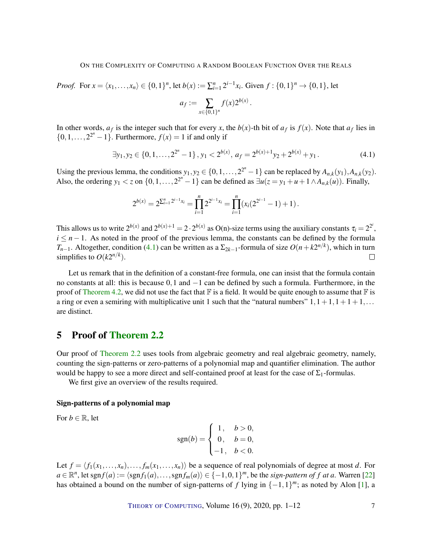<span id="page-6-2"></span>*Proof.* For 
$$
x = \langle x_1, ..., x_n \rangle \in \{0, 1\}^n
$$
, let  $b(x) := \sum_{i=1}^n 2^{i-1} x_i$ . Given  $f : \{0, 1\}^n \to \{0, 1\}$ , let  $a_f := \sum_{x \in \{0, 1\}^n} f(x) 2^{b(x)}$ .

In other words,  $a_f$  is the integer such that for every *x*, the  $b(x)$ -th bit of  $a_f$  is  $f(x)$ . Note that  $a_f$  lies in  $\{0, 1, \ldots, 2^{2^n} - 1\}$ . Furthermore,  $f(x) = 1$  if and only if

<span id="page-6-1"></span>
$$
\exists y_1, y_2 \in \{0, 1, \dots, 2^{2^n} - 1\}, y_1 < 2^{b(x)}, a_f = 2^{b(x)+1}y_2 + 2^{b(x)} + y_1. \tag{4.1}
$$

Using the previous lemma, the conditions  $y_1, y_2 \in \{0, 1, \ldots, 2^{2^n} - 1\}$  can be replaced by  $A_{n,k}(y_1), A_{n,k}(y_2)$ . Also, the ordering  $y_1 < z$  on  $\{0, 1, \ldots, 2^{2^n} - 1\}$  can be defined as  $\exists u(z = y_1 + u + 1 \land A_{n,k}(u))$ . Finally,

$$
2^{b(x)} = 2^{\sum_{i=1}^n 2^{i-1}x_i} = \prod_{i=1}^n 2^{2^{i-1}x_i} = \prod_{i=1}^n (x_i(2^{2^{i-1}} - 1) + 1).
$$

This allows us to write  $2^{b(x)}$  and  $2^{b(x)+1} = 2 \cdot 2^{b(x)}$  as O(n)-size terms using the auxiliary constants  $\tau_i = 2^{2^i}$ ,  $i \leq n-1$ . As noted in the proof of the previous lemma, the constants can be defined by the formula *T*<sub>*n*−1</sub>. Altogether, condition [\(4.1\)](#page-6-1) can be written as a  $\Sigma_{2k-1}$ -formula of size  $O(n+k2^{n/k})$ , which in turn simplifies to  $O(k2^{n/k})$ .  $\Box$ 

Let us remark that in the definition of a constant-free formula, one can insist that the formula contain no constants at all: this is because 0,1 and −1 can be defined by such a formula. Furthermore, in the proof of [Theorem](#page-5-0) [4.2,](#page-5-0) we did not use the fact that  $\mathbb F$  is a field. It would be quite enough to assume that  $\mathbb F$  is a ring or even a semiring with multiplicative unit 1 such that the "natural numbers"  $1,1+1,1+1+1,\ldots$ are distinct.

# <span id="page-6-0"></span>5 Proof of [Theorem](#page-2-1) [2.2](#page-2-1)

Our proof of [Theorem](#page-2-1) [2.2](#page-2-1) uses tools from algebraic geometry and real algebraic geometry, namely, counting the sign-patterns or zero-patterns of a polynomial map and quantifier elimination. The author would be happy to see a more direct and self-contained proof at least for the case of  $\Sigma_1$ -formulas.

We first give an overview of the results required.

## Sign-patterns of a polynomial map

For  $b \in \mathbb{R}$ , let

$$
sgn(b) = \begin{cases} 1, & b > 0, \\ 0, & b = 0, \\ -1, & b < 0. \end{cases}
$$

Let  $f = \langle f_1(x_1,...,x_n),..., f_m(x_1,...,x_n) \rangle$  be a sequence of real polynomials of degree at most *d*. For  $a \in \mathbb{R}^n$ , let sgn  $f(a) := \langle \text{sgn} f_1(a), \ldots, \text{sgn} f_m(a) \rangle \in \{-1, 0, 1\}^m$ , be the *sign-pattern of*  $f$  *at*  $a$ . Warren [\[22\]](#page-11-2) has obtained a bound on the number of sign-patterns of *f* lying in  $\{-1,1\}^m$ ; as noted by Alon [\[1\]](#page-9-1), a

THEORY OF C[OMPUTING](http://dx.doi.org/10.4086/toc), Volume  $16(9)$ , 2020, pp.  $1-12$  7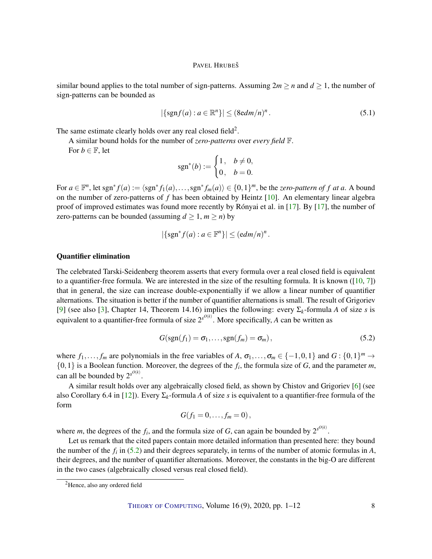<span id="page-7-2"></span>similar bound applies to the total number of sign-patterns. Assuming  $2m \ge n$  and  $d \ge 1$ , the number of sign-patterns can be bounded as

<span id="page-7-1"></span>
$$
|\{\operatorname{sgn} f(a) : a \in \mathbb{R}^n\}| \leq (8\mathrm{edm}/n)^n. \tag{5.1}
$$

The same estimate clearly holds over any real closed field<sup>2</sup>.

A similar bound holds for the number of *zero-patterns* over *every field* F.

For  $b \in \mathbb{F}$ , let

$$
sgn^*(b) := \begin{cases} 1, & b \neq 0, \\ 0, & b = 0. \end{cases}
$$

For  $a \in \mathbb{F}^n$ , let sgn<sup>\*</sup>  $f(a) := \langle \text{sgn}^* f_1(a), \ldots, \text{sgn}^* f_m(a) \rangle \in \{0,1\}^m$ , be the *zero-pattern of*  $f$  *at*  $a$ . A bound on the number of zero-patterns of *f* has been obtained by Heintz [\[10\]](#page-10-9). An elementary linear algebra proof of improved estimates was found more recently by Rónyai et al. in [\[17\]](#page-10-2). By [\[17\]](#page-10-2), the number of zero-patterns can be bounded (assuming  $d \ge 1$ ,  $m \ge n$ ) by

$$
|\{\operatorname{sgn}^* f(a) : a \in \mathbb{F}^n\}| \leq (edm/n)^n.
$$

### Quantifier elimination

The celebrated Tarski-Seidenberg theorem asserts that every formula over a real closed field is equivalent to a quantifier-free formula. We are interested in the size of the resulting formula. It is known ( $[10, 7]$  $[10, 7]$  $[10, 7]$ ) that in general, the size can increase double-exponentially if we allow a linear number of quantifier alternations. The situation is better if the number of quantifier alternations is small. The result of Grigoriev [\[9\]](#page-10-11) (see also [\[3\]](#page-9-2), Chapter 14, Theorem 14.16) implies the following: every Σ*k*-formula *A* of size *s* is equivalent to a quantifier-free formula of size  $2^{s^{O(k)}}$ . More specifically, *A* can be written as

<span id="page-7-0"></span>
$$
G(\operatorname{sgn}(f_1)=\sigma_1,\ldots,\operatorname{sgn}(f_m)=\sigma_m),\qquad \qquad (5.2)
$$

where  $f_1, \ldots, f_m$  are polynomials in the free variables of *A*,  $\sigma_1, \ldots, \sigma_m \in \{-1, 0, 1\}$  and  $G : \{0, 1\}^m \to$  $\{0,1\}$  is a Boolean function. Moreover, the degrees of the  $f_i$ , the formula size of *G*, and the parameter *m*, can all be bounded by  $2^{s^{O(k)}}$ .

A similar result holds over any algebraically closed field, as shown by Chistov and Grigoriev [\[6\]](#page-10-12) (see also Corollary 6.4 in [\[12\]](#page-10-13)). Every Σ*k*-formula *A* of size *s* is equivalent to a quantifier-free formula of the form

$$
G(f_1=0,\ldots,f_m=0),
$$

where *m*, the degrees of the  $f_i$ , and the formula size of *G*, can again be bounded by  $2^{s^{O(k)}}$ .

Let us remark that the cited papers contain more detailed information than presented here: they bound the number of the  $f_i$  in [\(5.2\)](#page-7-0) and their degrees separately, in terms of the number of atomic formulas in  $A$ , their degrees, and the number of quantifier alternations. Moreover, the constants in the big-O are different in the two cases (algebraically closed versus real closed field).

<sup>2</sup>Hence, also any ordered field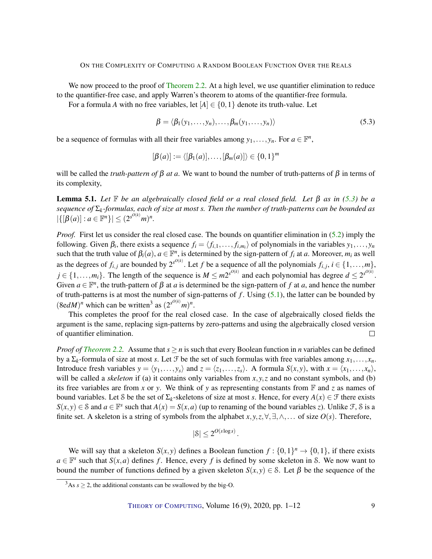We now proceed to the proof of [Theorem](#page-2-1) [2.2.](#page-2-1) At a high level, we use quantifier elimination to reduce to the quantifier-free case, and apply Warren's theorem to atoms of the quantifier-free formula.

For a formula *A* with no free variables, let  $[A] \in \{0, 1\}$  denote its truth-value. Let

<span id="page-8-0"></span>
$$
\beta = \langle \beta_1(y_1, \ldots, y_n), \ldots, \beta_m(y_1, \ldots, y_n) \rangle \tag{5.3}
$$

be a sequence of formulas with all their free variables among  $y_1, \ldots, y_n$ . For  $a \in \mathbb{F}^n$ ,

$$
[\beta(a)] := \langle [\beta_1(a)], \ldots, [\beta_m(a)] \rangle \in \{0,1\}^m
$$

will be called the *truth-pattern of*  $\beta$  *at a*. We want to bound the number of truth-patterns of  $\beta$  in terms of its complexity,

**Lemma 5.1.** Let  $\mathbb F$  be an algebraically closed field or a real closed field. Let  $\beta$  as in [\(5.3\)](#page-8-0) be a *sequence of* Σ*k-formulas, each of size at most s. Then the number of truth-patterns can be bounded as*  $|\{[\beta(a)] : a \in \mathbb{F}^n\}| \leq (2^{s^{O(k)}}m)^n$ .

*Proof.* First let us consider the real closed case. The bounds on quantifier elimination in [\(5.2\)](#page-7-0) imply the following. Given  $\beta_i$ , there exists a sequence  $f_i = \langle f_{i,1}, \dots, f_{i,m_i} \rangle$  of polynomials in the variables  $y_1, \dots, y_n$ such that the truth value of  $\beta_i(a)$ ,  $a \in \mathbb{F}^n$ , is determined by the sign-pattern of  $f_i$  at  $a$ . Moreover,  $m_i$  as well as the degrees of  $f_{i,j}$  are bounded by  $2^{s^{O(k)}}$ . Let *f* be a sequence of all the polynomials  $f_{i,j}$ ,  $i \in \{1, \ldots, m\}$ ,  $j \in \{1, \ldots, m_i\}$ . The length of the sequence is  $M \leq m2^{s^{O(k)}}$  and each polynomial has degree  $d \leq 2^{s^{O(k)}}$ . Given  $a \in \mathbb{F}^n$ , the truth-pattern of  $\beta$  at *a* is determined be the sign-pattern of *f* at *a*, and hence the number of truth-patterns is at most the number of sign-patterns of *f* . Using [\(5.1\)](#page-7-1), the latter can be bounded by  $(8e dM)^n$  which can be written<sup>3</sup> as  $(2^{s^{O(k)}}m)^n$ .

This completes the proof for the real closed case. In the case of algebraically closed fields the argument is the same, replacing sign-patterns by zero-patterns and using the algebraically closed version of quantifier elimination.  $\Box$ 

*Proof of [Theorem](#page-2-1) [2.2.](#page-2-1)* Assume that  $s \ge n$  is such that every Boolean function in *n* variables can be defined by a  $\Sigma_k$ -formula of size at most *s*. Let  $\mathcal F$  be the set of such formulas with free variables among  $x_1, \ldots, x_n$ . Introduce fresh variables  $y = \langle y_1, \ldots, y_s \rangle$  and  $z = \langle z_1, \ldots, z_s \rangle$ . A formula  $S(x, y)$ , with  $x = \langle x_1, \ldots, x_n \rangle$ , will be called a *skeleton* if (a) it contains only variables from  $x, y, z$  and no constant symbols, and (b) its free variables are from *x* or *y*. We think of *y* as representing constants from  $\mathbb{F}$  and *z* as names of bound variables. Let S be the set of  $\Sigma_k$ -skeletons of size at most *s*. Hence, for every  $A(x) \in \mathcal{F}$  there exists  $S(x, y) \in S$  and  $a \in \mathbb{F}^s$  such that  $A(x) = S(x, a)$  (up to renaming of the bound variables *z*). Unlike F, S is a finite set. A skeleton is a string of symbols from the alphabet *x*, *y*, *z*,  $\forall$ ,  $\exists$ ,  $\land$ ,... of size  $O(s)$ . Therefore,

$$
|\mathcal{S}| \le 2^{O(s \log s)}.
$$

We will say that a skeleton  $S(x, y)$  defines a Boolean function  $f: \{0, 1\}^n \to \{0, 1\}$ , if there exists  $a \in \mathbb{F}^s$  such that  $S(x, a)$  defines *f*. Hence, every *f* is defined by some skeleton in *S*. We now want to bound the number of functions defined by a given skeleton  $S(x, y) \in S$ . Let  $\beta$  be the sequence of the

 $3As s \geq 2$ , the additional constants can be swallowed by the big-O.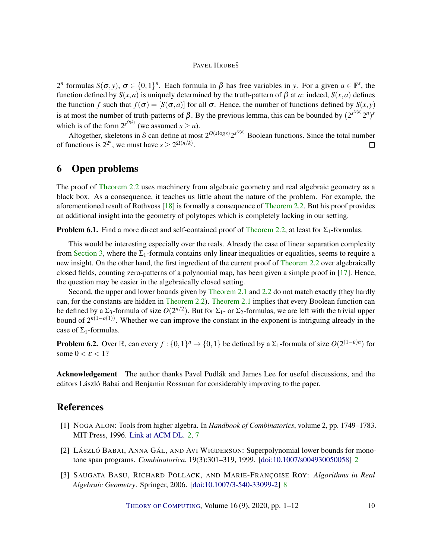<span id="page-9-3"></span>2<sup>*n*</sup> formulas  $S(\sigma, y)$ ,  $\sigma \in \{0, 1\}^n$ . Each formula in  $\beta$  has free variables in *y*. For a given  $a \in \mathbb{F}^s$ , the function defined by *S*(*x*,*a*) is uniquely determined by the truth-pattern of β at *a*: indeed, *S*(*x*,*a*) defines the function *f* such that  $f(\sigma) = [S(\sigma, a)]$  for all  $\sigma$ . Hence, the number of functions defined by  $S(x, y)$ is at most the number of truth-patterns of  $\beta$ . By the previous lemma, this can be bounded by  $(2^{s^{O(k)}}2^n)^s$ which is of the form  $2^{s^{O(k)}}$  (we assumed  $s \ge n$ ).

Altogether, skeletons in S can define at most  $2^{O(s \log s)} 2^{s^{O(k)}}$  Boolean functions. Since the total number of functions is  $2^{2^n}$ , we must have  $s \ge 2^{\Omega(n/k)}$ .  $\Box$ 

## 6 Open problems

The proof of [Theorem](#page-2-1) [2.2](#page-2-1) uses machinery from algebraic geometry and real algebraic geometry as a black box. As a consequence, it teaches us little about the nature of the problem. For example, the aforementioned result of Rothvoss [\[18\]](#page-11-4) is formally a consequence of [Theorem](#page-2-1) [2.2.](#page-2-1) But his proof provides an additional insight into the geometry of polytopes which is completely lacking in our setting.

**Problem 6.1.** Find a more direct and self-contained proof of [Theorem](#page-2-1) [2.2,](#page-2-1) at least for  $\Sigma_1$ -formulas.

This would be interesting especially over the reals. Already the case of linear separation complexity from [Section](#page-3-0) [3,](#page-3-0) where the  $\Sigma_1$ -formula contains only linear inequalities or equalities, seems to require a new insight. On the other hand, the first ingredient of the current proof of [Theorem](#page-2-1) [2.2](#page-2-1) over algebraically closed fields, counting zero-patterns of a polynomial map, has been given a simple proof in [\[17\]](#page-10-2). Hence, the question may be easier in the algebraically closed setting.

Second, the upper and lower bounds given by [Theorem](#page-2-0) [2.1](#page-2-0) and [2.2](#page-2-1) do not match exactly (they hardly can, for the constants are hidden in [Theorem](#page-2-1) [2.2\)](#page-2-1). [Theorem](#page-2-0) [2.1](#page-2-0) implies that every Boolean function can be defined by a  $\Sigma_3$ -formula of size  $O(2^{n/2})$ . But for  $\Sigma_1$ - or  $\Sigma_2$ -formulas, we are left with the trivial upper bound of  $2^{n(1-o(1))}$ . Whether we can improve the constant in the exponent is intriguing already in the case of  $\Sigma_1$ -formulas.

**Problem 6.2.** Over  $\mathbb{R}$ , can every  $f: \{0,1\}^n \to \{0,1\}$  be defined by a  $\Sigma_1$ -formula of size  $O(2^{(1-\epsilon)n})$  for some  $0 < \varepsilon < 1$ ?

Acknowledgement The author thanks Pavel Pudlák and James Lee for useful discussions, and the editors László Babai and Benjamin Rossman for considerably improving to the paper.

# References

- <span id="page-9-1"></span>[1] NOGA ALON: Tools from higher algebra. In *Handbook of Combinatorics*, volume 2, pp. 1749–1783. MIT Press, 1996. [Link at ACM DL.](https://dl.acm.org/doi/10.5555/233228.233242) [2,](#page-1-0) [7](#page-6-2)
- <span id="page-9-0"></span>[2] LÁSZLÓ BABAI, ANNA GÁL, AND AVI WIGDERSON: Superpolynomial lower bounds for monotone span programs. *Combinatorica*, 19(3):301–319, 1999. [\[doi:10.1007/s004930050058\]](http://dx.doi.org/10.1007/s004930050058) [2](#page-1-0)
- <span id="page-9-2"></span>[3] SAUGATA BASU, RICHARD POLLACK, AND MARIE-FRANÇOISE ROY: *Algorithms in Real Algebraic Geometry*. Springer, 2006. [\[doi:10.1007/3-540-33099-2\]](http://dx.doi.org/10.1007/3-540-33099-2) [8](#page-7-2)

THEORY OF C[OMPUTING](http://dx.doi.org/10.4086/toc), Volume  $16(9)$ ,  $2020$ , pp.  $1-12$  10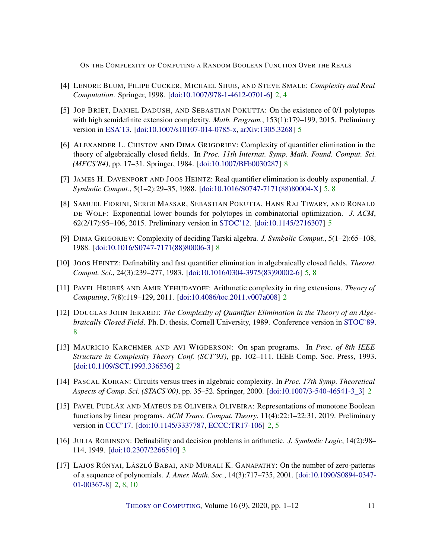- <span id="page-10-4"></span>[4] LENORE BLUM, FILIPE CUCKER, MICHAEL SHUB, AND STEVE SMALE: *Complexity and Real Computation*. Springer, 1998. [\[doi:10.1007/978-1-4612-0701-6\]](http://dx.doi.org/10.1007/978-1-4612-0701-6) [2,](#page-1-0) [4](#page-3-2)
- <span id="page-10-8"></span>[5] JOP BRIËT, DANIEL DADUSH, AND SEBASTIAN POKUTTA: On the existence of 0/1 polytopes with high semidefinite extension complexity. *Math. Program.*, 153(1):179–199, 2015. Preliminary version in [ESA'13.](https://doi.org/10.1007/978-3-642-40450-4_19) [\[doi:10.1007/s10107-014-0785-x,](http://dx.doi.org/10.1007/s10107-014-0785-x) [arXiv:1305.3268\]](http://arxiv.org/abs/1305.3268) [5](#page-4-2)
- <span id="page-10-12"></span>[6] ALEXANDER L. CHISTOV AND DIMA GRIGORIEV: Complexity of quantifier elimination in the theory of algebraically closed fields. In *Proc. 11th Internat. Symp. Math. Found. Comput. Sci. (MFCS'84)*, pp. 17–31. Springer, 1984. [\[doi:10.1007/BFb0030287\]](http://dx.doi.org/10.1007/BFb0030287) [8](#page-7-2)
- <span id="page-10-10"></span>[7] JAMES H. DAVENPORT AND JOOS HEINTZ: Real quantifier elimination is doubly exponential. *J. Symbolic Comput.*, 5(1–2):29–35, 1988. [\[doi:10.1016/S0747-7171\(88\)80004-X\]](http://dx.doi.org/10.1016/S0747-7171(88)80004-X) [5,](#page-4-2) [8](#page-7-2)
- <span id="page-10-7"></span>[8] SAMUEL FIORINI, SERGE MASSAR, SEBASTIAN POKUTTA, HANS RAJ TIWARY, AND RONALD DE WOLF: Exponential lower bounds for polytopes in combinatorial optimization. *J. ACM*, 62(2/17):95–106, 2015. Preliminary version in [STOC'12.](http://doi.org/10.1145/2213977.2213988) [\[doi:10.1145/2716307\]](http://dx.doi.org/10.1145/2716307) [5](#page-4-2)
- <span id="page-10-11"></span>[9] DIMA GRIGORIEV: Complexity of deciding Tarski algebra. *J. Symbolic Comput.*, 5(1–2):65–108, 1988. [\[doi:10.1016/S0747-7171\(88\)80006-3\]](http://dx.doi.org/10.1016/S0747-7171(88)80006-3) [8](#page-7-2)
- <span id="page-10-9"></span>[10] JOOS HEINTZ: Definability and fast quantifier elimination in algebraically closed fields. *Theoret. Comput. Sci.*, 24(3):239–277, 1983. [\[doi:10.1016/0304-3975\(83\)90002-6\]](http://dx.doi.org/10.1016/0304-3975(83)90002-6) [5,](#page-4-2) [8](#page-7-2)
- <span id="page-10-0"></span>[11] PAVEL HRUBEŠ AND AMIR YEHUDAYOFF: Arithmetic complexity in ring extensions. *Theory of Computing*, 7(8):119–129, 2011. [\[doi:10.4086/toc.2011.v007a008\]](http://dx.doi.org/10.4086/toc.2011.v007a008) [2](#page-1-0)
- <span id="page-10-13"></span>[12] DOUGLAS JOHN IERARDI: *The Complexity of Quantifier Elimination in the Theory of an Algebraically Closed Field*. Ph. D. thesis, Cornell University, 1989. Conference version in [STOC'89.](http://doi.org/10.1145/73007.73020) [8](#page-7-2)
- <span id="page-10-1"></span>[13] MAURICIO KARCHMER AND AVI WIGDERSON: On span programs. In *Proc. of 8th IEEE Structure in Complexity Theory Conf. (SCT'93)*, pp. 102–111. IEEE Comp. Soc. Press, 1993. [\[doi:10.1109/SCT.1993.336536\]](http://dx.doi.org/10.1109/SCT.1993.336536) [2](#page-1-0)
- <span id="page-10-5"></span>[14] PASCAL KOIRAN: Circuits versus trees in algebraic complexity. In *Proc. 17th Symp. Theoretical Aspects of Comp. Sci. (STACS'00)*, pp. 35–52. Springer, 2000. [\[doi:10.1007/3-540-46541-3\\_3\]](http://dx.doi.org/10.1007/3-540-46541-3_3) [2](#page-1-0)
- <span id="page-10-3"></span>[15] PAVEL PUDLÁK AND MATEUS DE OLIVEIRA OLIVEIRA: Representations of monotone Boolean functions by linear programs. *ACM Trans. Comput. Theory*, 11(4):22:1–22:31, 2019. Preliminary version in [CCC'17.](https://doi.org/10.4230/LIPIcs.CCC.2017.3) [\[doi:10.1145/3337787,](http://dx.doi.org/10.1145/3337787) [ECCC:TR17-106\]](https://eccc.weizmann.ac.il/report/2017/106) [2,](#page-1-0) [5](#page-4-2)
- <span id="page-10-6"></span>[16] JULIA ROBINSON: Definability and decision problems in arithmetic. *J. Symbolic Logic*, 14(2):98– 114, 1949. [\[doi:10.2307/2266510\]](http://dx.doi.org/10.2307/2266510) [3](#page-2-2)
- <span id="page-10-2"></span>[17] LAJOS RÓNYAI, LÁSZLÓ BABAI, AND MURALI K. GANAPATHY: On the number of zero-patterns of a sequence of polynomials. *J. Amer. Math. Soc.*, 14(3):717–735, 2001. [\[doi:10.1090/S0894-0347-](http://dx.doi.org/10.1090/S0894-0347-01-00367-8) [01-00367-8\]](http://dx.doi.org/10.1090/S0894-0347-01-00367-8) [2,](#page-1-0) [8,](#page-7-2) [10](#page-9-3)